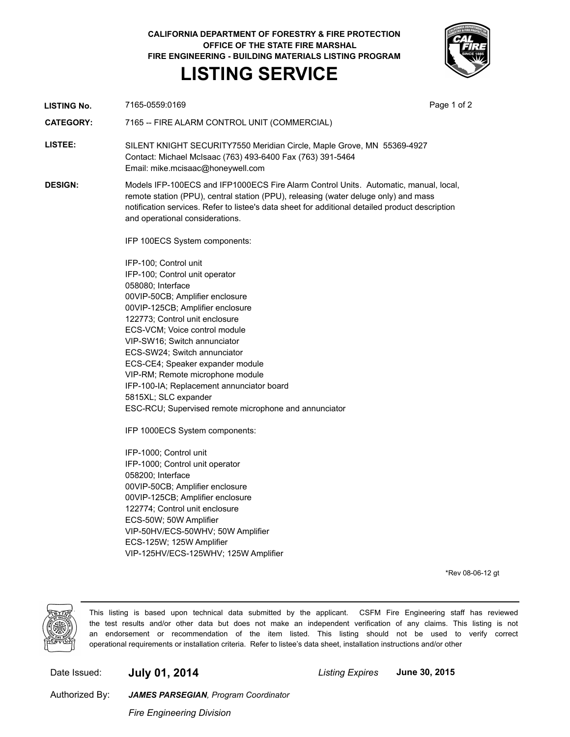**CALIFORNIA DEPARTMENT OF FORESTRY & FIRE PROTECTION OFFICE OF THE STATE FIRE MARSHAL FIRE ENGINEERING - BUILDING MATERIALS LISTING PROGRAM**

## **LISTING SERVICE**



**LISTING No.** 7165-0559:0169 **Page 1 of 2** Page 1 of 2

**CATEGORY:** 7165 -- FIRE ALARM CONTROL UNIT (COMMERCIAL)

**LISTEE:** SILENT KNIGHT SECURITY7550 Meridian Circle, Maple Grove, MN 55369-4927 Contact: Michael McIsaac (763) 493-6400 Fax (763) 391-5464 Email: mike.mcisaac@honeywell.com

**DESIGN:** Models IFP-100ECS and IFP1000ECS Fire Alarm Control Units. Automatic, manual, local, remote station (PPU), central station (PPU), releasing (water deluge only) and mass notification services. Refer to listee's data sheet for additional detailed product description and operational considerations.

IFP 100ECS System components:

IFP-100; Control unit IFP-100; Control unit operator 058080; Interface 00VIP-50CB; Amplifier enclosure 00VIP-125CB; Amplifier enclosure 122773; Control unit enclosure ECS-VCM; Voice control module VIP-SW16; Switch annunciator ECS-SW24; Switch annunciator ECS-CE4; Speaker expander module VIP-RM; Remote microphone module IFP-100-IA; Replacement annunciator board 5815XL; SLC expander ESC-RCU; Supervised remote microphone and annunciator

IFP 1000ECS System components:

IFP-1000; Control unit IFP-1000; Control unit operator 058200; Interface 00VIP-50CB; Amplifier enclosure 00VIP-125CB; Amplifier enclosure 122774; Control unit enclosure ECS-50W; 50W Amplifier VIP-50HV/ECS-50WHV; 50W Amplifier ECS-125W; 125W Amplifier VIP-125HV/ECS-125WHV; 125W Amplifier

\*Rev 08-06-12 gt



This listing is based upon technical data submitted by the applicant. CSFM Fire Engineering staff has reviewed the test results and/or other data but does not make an independent verification of any claims. This listing is not an endorsement or recommendation of the item listed. This listing should not be used to verify correct operational requirements or installation criteria. Refer to listee's data sheet, installation instructions and/or other

Date Issued: **July 01, 2014** *Listing Expires* **June 30, 2015**

Authorized By:

*Fire Engineering Division JAMES PARSEGIAN, Program Coordinator*